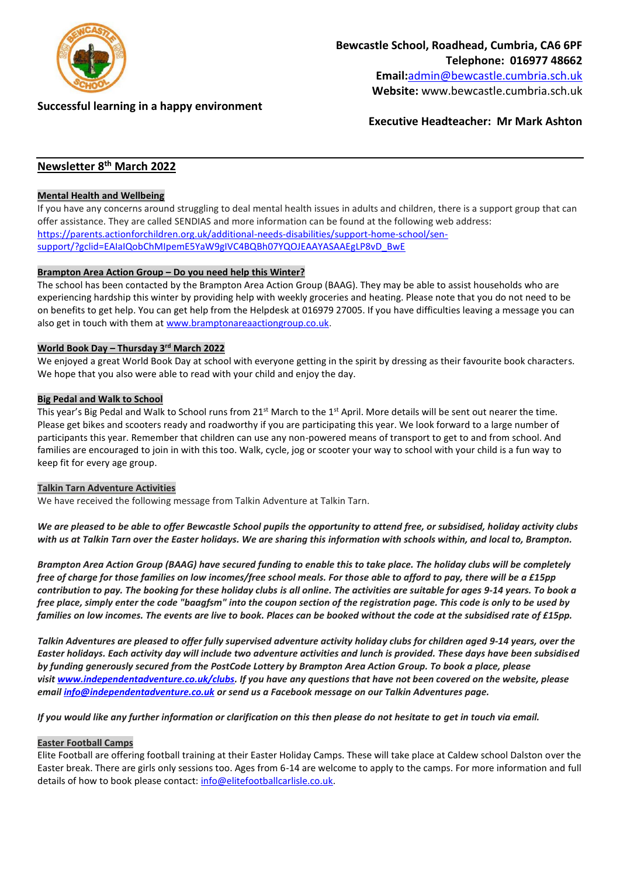

# **Telephone: 016977 48662 Email:**[admin@bewcastle.cumbria.sch.uk](mailto:admin@bewcastle.cumbria.sch.uk)

**Website:** www.bewcastle.cumbria.sch.uk

**Bewcastle School, Roadhead, Cumbria, CA6 6PF**

# **Successful learning in a happy environment**

**Executive Headteacher: Mr Mark Ashton**

# **Newsletter 8 th March 2022**

## **Mental Health and Wellbeing**

If you have any concerns around struggling to deal mental health issues in adults and children, there is a support group that can offer assistance. They are called SENDIAS and more information can be found at the following web address: [https://parents.actionforchildren.org.uk/additional-needs-disabilities/support-home-school/sen](https://parents.actionforchildren.org.uk/additional-needs-disabilities/support-home-school/sen-support/?gclid=EAIaIQobChMIpemE5YaW9gIVC4BQBh07YQOJEAAYASAAEgLP8vD_BwE)[support/?gclid=EAIaIQobChMIpemE5YaW9gIVC4BQBh07YQOJEAAYASAAEgLP8vD\\_BwE](https://parents.actionforchildren.org.uk/additional-needs-disabilities/support-home-school/sen-support/?gclid=EAIaIQobChMIpemE5YaW9gIVC4BQBh07YQOJEAAYASAAEgLP8vD_BwE)

## **Brampton Area Action Group – Do you need help this Winter?**

The school has been contacted by the Brampton Area Action Group (BAAG). They may be able to assist households who are experiencing hardship this winter by providing help with weekly groceries and heating. Please note that you do not need to be on benefits to get help. You can get help from the Helpdesk at 016979 27005. If you have difficulties leaving a message you can also get in touch with them at [www.bramptonareaactiongroup.co.uk.](http://www.bramptonareaactiongroup.co.uk/)

## **World Book Day – Thursday 3rd March 2022**

We enjoyed a great World Book Day at school with everyone getting in the spirit by dressing as their favourite book characters. We hope that you also were able to read with your child and enjoy the day.

#### **Big Pedal and Walk to School**

This year's Big Pedal and Walk to School runs from 21<sup>st</sup> March to the 1<sup>st</sup> April. More details will be sent out nearer the time. Please get bikes and scooters ready and roadworthy if you are participating this year. We look forward to a large number of participants this year. Remember that children can use any non-powered means of transport to get to and from school. And families are encouraged to join in with this too. Walk, cycle, jog or scooter your way to school with your child is a fun way to keep fit for every age group.

#### **Talkin Tarn Adventure Activities**

We have received the following message from Talkin Adventure at Talkin Tarn.

*We are pleased to be able to offer Bewcastle School pupils the opportunity to attend free, or subsidised, holiday activity clubs with us at Talkin Tarn over the Easter holidays. We are sharing this information with schools within, and local to, Brampton.*

*Brampton Area Action Group (BAAG) have secured funding to enable this to take place. The holiday clubs will be completely free of charge for those families on low incomes/free school meals. For those able to afford to pay, there will be a £15pp contribution to pay. The booking for these holiday clubs is all online. The activities are suitable for ages 9-14 years. To book a free place, simply enter the code "baagfsm" into the coupon section of the registration page. This code is only to be used by families on low incomes. The events are live to book. Places can be booked without the code at the subsidised rate of £15pp.*

*Talkin Adventures are pleased to offer fully supervised adventure activity holiday clubs for children aged 9-14 years, over the Easter holidays. Each activity day will include two adventure activities and lunch is provided. These days have been subsidised by funding generously secured from the PostCode Lottery by Brampton Area Action Group. To book a place, please visit [www.independentadventure.co.uk/clubs.](http://www.independentadventure.co.uk/clubs) If you have any questions that have not been covered on the website, please email [info@independentadventure.co.uk](mailto:info@independentadventure.co.uk) or send us a Facebook message on our Talkin Adventures page.*

*If you would like any further information or clarification on this then please do not hesitate to get in touch via email.*

#### **Easter Football Camps**

Elite Football are offering football training at their Easter Holiday Camps. These will take place at Caldew school Dalston over the Easter break. There are girls only sessions too. Ages from 6-14 are welcome to apply to the camps. For more information and full details of how to book please contact: [info@elitefootballcarlisle.co.uk.](mailto:info@elitefootballcarlisle.co.uk)